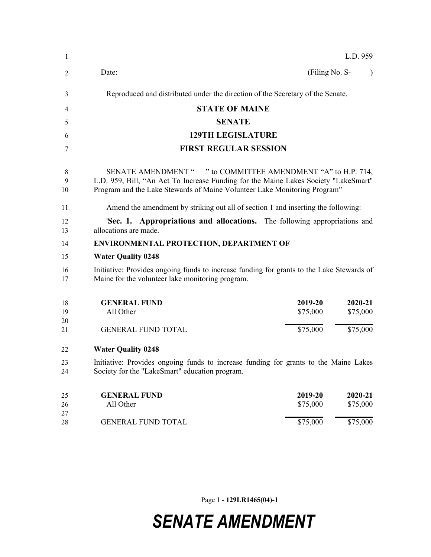| $\mathbf{1}$   |                                                                                                                                                                                                                                            |                     | L.D. 959            |  |
|----------------|--------------------------------------------------------------------------------------------------------------------------------------------------------------------------------------------------------------------------------------------|---------------------|---------------------|--|
| 2              | Date:                                                                                                                                                                                                                                      | (Filing No. S-      |                     |  |
| 3              | Reproduced and distributed under the direction of the Secretary of the Senate.                                                                                                                                                             |                     |                     |  |
| 4              | <b>STATE OF MAINE</b>                                                                                                                                                                                                                      |                     |                     |  |
| 5              | <b>SENATE</b>                                                                                                                                                                                                                              |                     |                     |  |
| 6              | <b>129TH LEGISLATURE</b>                                                                                                                                                                                                                   |                     |                     |  |
| 7              | <b>FIRST REGULAR SESSION</b>                                                                                                                                                                                                               |                     |                     |  |
| 8<br>9<br>10   | " to COMMITTEE AMENDMENT "A" to H.P. 714,<br><b>SENATE AMENDMENT "</b><br>L.D. 959, Bill, "An Act To Increase Funding for the Maine Lakes Society "LakeSmart"<br>Program and the Lake Stewards of Maine Volunteer Lake Monitoring Program" |                     |                     |  |
| 11             | Amend the amendment by striking out all of section 1 and inserting the following:                                                                                                                                                          |                     |                     |  |
| 12<br>13       | 'Sec. 1. Appropriations and allocations. The following appropriations and<br>allocations are made.                                                                                                                                         |                     |                     |  |
| 14             | <b>ENVIRONMENTAL PROTECTION, DEPARTMENT OF</b>                                                                                                                                                                                             |                     |                     |  |
| 15             | <b>Water Quality 0248</b>                                                                                                                                                                                                                  |                     |                     |  |
| 16<br>17       | Initiative: Provides ongoing funds to increase funding for grants to the Lake Stewards of<br>Maine for the volunteer lake monitoring program.                                                                                              |                     |                     |  |
| 18<br>19<br>20 | <b>GENERAL FUND</b><br>All Other                                                                                                                                                                                                           | 2019-20<br>\$75,000 | 2020-21<br>\$75,000 |  |
| 21             | <b>GENERAL FUND TOTAL</b>                                                                                                                                                                                                                  | \$75,000            | \$75,000            |  |
| 22             | <b>Water Quality 0248</b>                                                                                                                                                                                                                  |                     |                     |  |
| 23<br>24       | Initiative: Provides ongoing funds to increase funding for grants to the Maine Lakes<br>Society for the "LakeSmart" education program.                                                                                                     |                     |                     |  |
| 25<br>26<br>27 | <b>GENERAL FUND</b><br>All Other                                                                                                                                                                                                           | 2019-20<br>\$75,000 | 2020-21<br>\$75,000 |  |
| 28             | <b>GENERAL FUND TOTAL</b>                                                                                                                                                                                                                  | \$75,000            | \$75,000            |  |

Page 1 **- 129LR1465(04)-1**

## *SENATE AMENDMENT*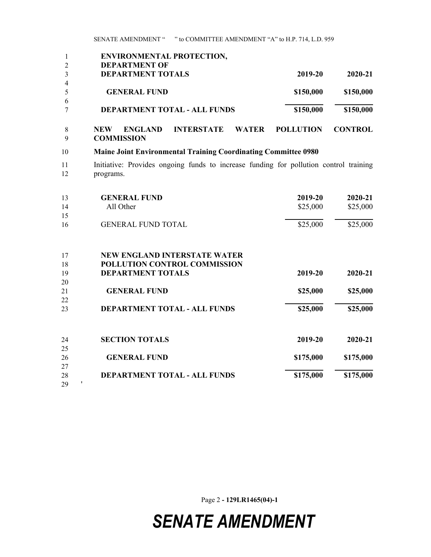SENATE AMENDMENT " " to COMMITTEE AMENDMENT "A" to H.P. 714, L.D. 959

|          | <b>ENVIRONMENTAL PROTECTION,</b>                                                                   |                  |                |
|----------|----------------------------------------------------------------------------------------------------|------------------|----------------|
| 2        | <b>DEPARTMENT OF</b>                                                                               |                  |                |
| 3        | <b>DEPARTMENT TOTALS</b>                                                                           | 2019-20          | 2020-21        |
| 4        |                                                                                                    |                  |                |
| 5        | <b>GENERAL FUND</b>                                                                                | \$150,000        | \$150,000      |
| 6        |                                                                                                    |                  |                |
|          | <b>DEPARTMENT TOTAL - ALL FUNDS</b>                                                                | \$150,000        | \$150,000      |
| 8<br>9   | <b>INTERSTATE</b><br><b>WATER</b><br><b>ENGLAND</b><br>NEW<br><b>COMMISSION</b>                    | <b>POLLUTION</b> | <b>CONTROL</b> |
|          |                                                                                                    |                  |                |
| 10       | <b>Maine Joint Environmental Training Coordinating Committee 0980</b>                              |                  |                |
| 11<br>12 | Initiative: Provides ongoing funds to increase funding for pollution control training<br>programs. |                  |                |

| 13 | <b>GENERAL FUND</b>                 | 2019-20   | 2020-21   |
|----|-------------------------------------|-----------|-----------|
| 14 | All Other                           | \$25,000  | \$25,000  |
| 15 |                                     |           |           |
| 16 | <b>GENERAL FUND TOTAL</b>           | \$25,000  | \$25,000  |
| 17 | <b>NEW ENGLAND INTERSTATE WATER</b> |           |           |
| 18 | POLLUTION CONTROL COMMISSION        |           |           |
| 19 | <b>DEPARTMENT TOTALS</b>            | 2019-20   | 2020-21   |
| 20 |                                     |           |           |
| 21 | <b>GENERAL FUND</b>                 | \$25,000  | \$25,000  |
| 22 |                                     |           |           |
| 23 | <b>DEPARTMENT TOTAL - ALL FUNDS</b> | \$25,000  | \$25,000  |
| 24 | <b>SECTION TOTALS</b>               | 2019-20   | 2020-21   |
| 25 |                                     |           |           |
| 26 | <b>GENERAL FUND</b>                 | \$175,000 | \$175,000 |
| 27 |                                     |           |           |
| 28 | DEPARTMENT TOTAL - ALL FUNDS        | \$175,000 | \$175,000 |
| 29 |                                     |           |           |

Page 2 **- 129LR1465(04)-1**

## *SENATE AMENDMENT*